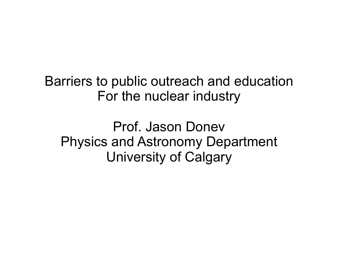Barriers to public outreach and education For the nuclear industry

Prof. Jason Donev Physics and Astronomy Department University of Calgary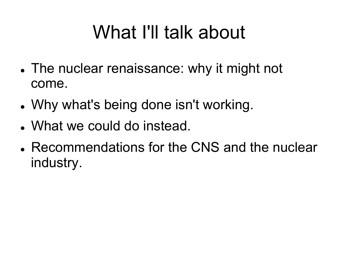## What I'll talk about

- The nuclear renaissance: why it might not come.
- Why what's being done isn't working.
- What we could do instead.
- Recommendations for the CNS and the nuclear industry.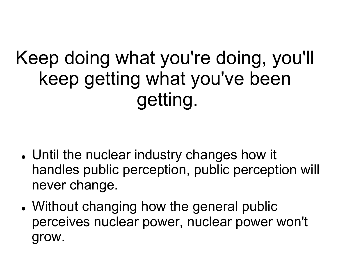#### Keep doing what you're doing, you'll keep getting what you've been getting.

- Until the nuclear industry changes how it handles public perception, public perception will never change.
- Without changing how the general public perceives nuclear power, nuclear power won't grow.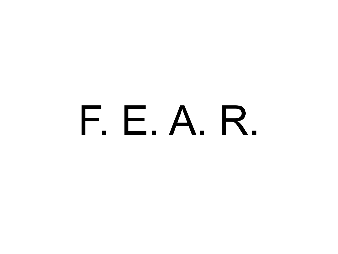# F. E. A. R.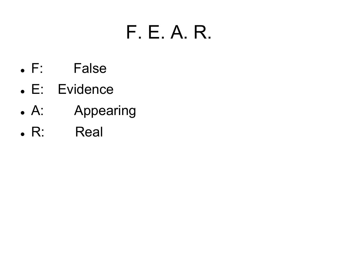## F. E. A. R.

- F: False
- E: Evidence
- A: Appearing
- R: Real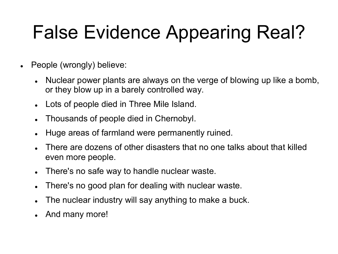# False Evidence Appearing Real?

- People (wrongly) believe:
	- Nuclear power plants are always on the verge of blowing up like a bomb, or they blow up in a barely controlled way.
	- Lots of people died in Three Mile Island.
	- Thousands of people died in Chernobyl.
	- Huge areas of farmland were permanently ruined.
	- There are dozens of other disasters that no one talks about that killed even more people.
	- There's no safe way to handle nuclear waste.
	- There's no good plan for dealing with nuclear waste.
	- The nuclear industry will say anything to make a buck.
	- And many more!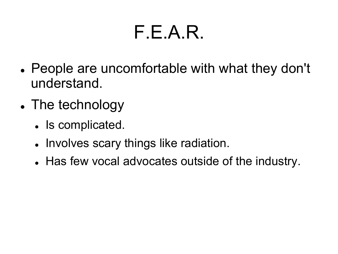#### F.E.A.R.

- People are uncomfortable with what they don't understand.
- The technology
	- Is complicated.
	- Involves scary things like radiation.
	- Has few vocal advocates outside of the industry.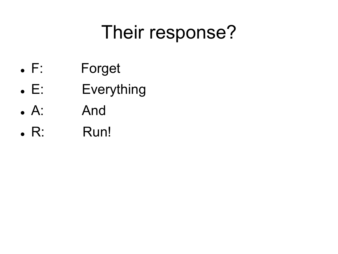## Their response?

- F: Forget
- E: Everything
- A: And
- R: Run!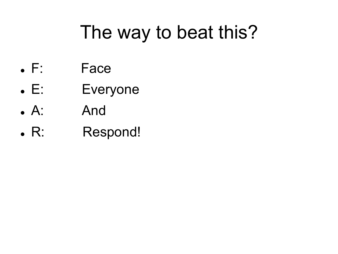## The way to beat this?

- F: Face
- E: Everyone
- A: And
- R: Respond!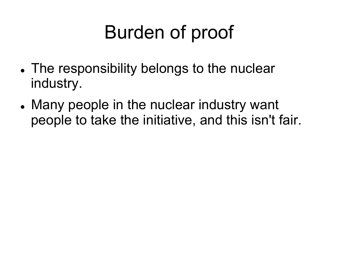# Burden of proof

- The responsibility belongs to the nuclear industry.
- Many people in the nuclear industry want people to take the initiative, and this isn't fair.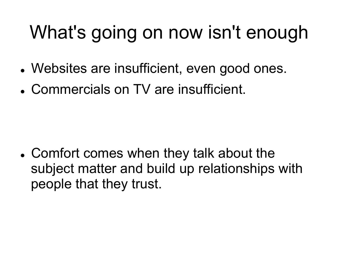# What's going on now isn't enough

- Websites are insufficient, even good ones.
- Commercials on TV are insufficient.

 Comfort comes when they talk about the subject matter and build up relationships with people that they trust.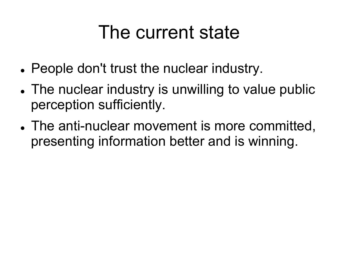#### The current state

- People don't trust the nuclear industry.
- The nuclear industry is unwilling to value public perception sufficiently.
- The anti-nuclear movement is more committed, presenting information better and is winning.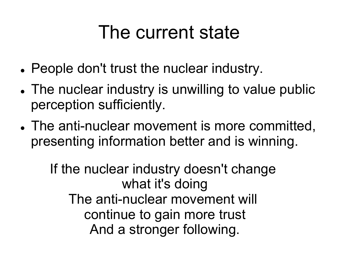#### The current state

- People don't trust the nuclear industry.
- The nuclear industry is unwilling to value public perception sufficiently.
- The anti-nuclear movement is more committed, presenting information better and is winning.

If the nuclear industry doesn't change what it's doing The anti-nuclear movement will continue to gain more trust And a stronger following.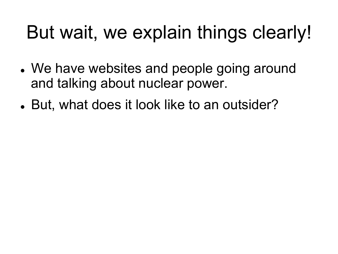## But wait, we explain things clearly!

- We have websites and people going around and talking about nuclear power.
- But, what does it look like to an outsider?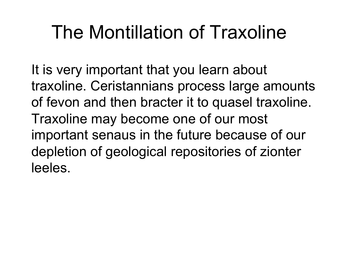## The Montillation of Traxoline

It is very important that you learn about traxoline. Ceristannians process large amounts of fevon and then bracter it to quasel traxoline. Traxoline may become one of our most important senaus in the future because of our depletion of geological repositories of zionter leeles.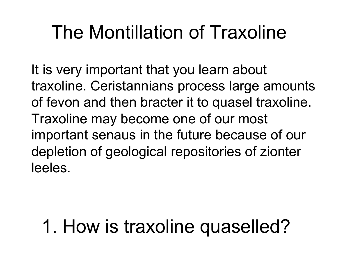## The Montillation of Traxoline

 It is very important that you learn about traxoline. Ceristannians process large amounts of fevon and then bracter it to quasel traxoline. Traxoline may become one of our most important senaus in the future because of our depletion of geological repositories of zionter leeles.

## 1. How is traxoline quaselled?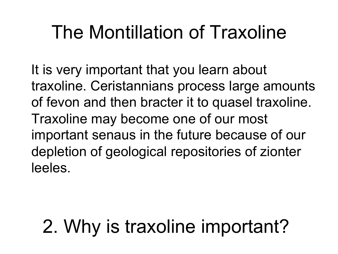## The Montillation of Traxoline

 It is very important that you learn about traxoline. Ceristannians process large amounts of fevon and then bracter it to quasel traxoline. Traxoline may become one of our most important senaus in the future because of our depletion of geological repositories of zionter leeles.

# 2. Why is traxoline important?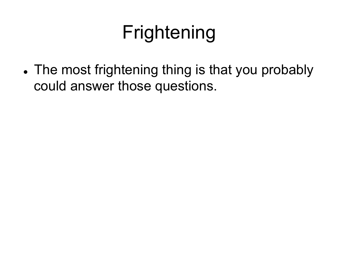# Frightening

• The most frightening thing is that you probably could answer those questions.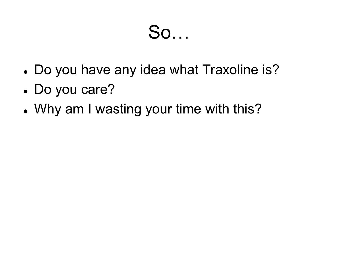#### So…

- Do you have any idea what Traxoline is?
- Do you care?
- Why am I wasting your time with this?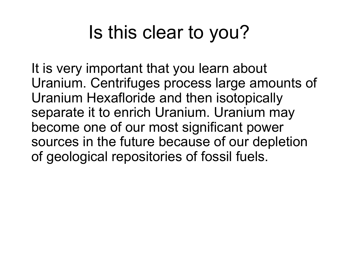## Is this clear to you?

It is very important that you learn about Uranium. Centrifuges process large amounts of Uranium Hexafloride and then isotopically separate it to enrich Uranium. Uranium may become one of our most significant power sources in the future because of our depletion of geological repositories of fossil fuels.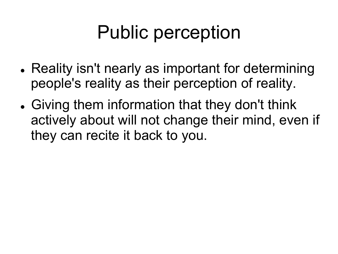## Public perception

- Reality isn't nearly as important for determining people's reality as their perception of reality.
- Giving them information that they don't think actively about will not change their mind, even if they can recite it back to you.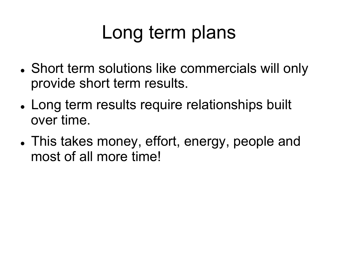## Long term plans

- Short term solutions like commercials will only provide short term results.
- Long term results require relationships built over time.
- This takes money, effort, energy, people and most of all more time!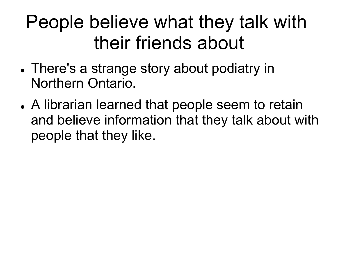#### People believe what they talk with their friends about

- There's a strange story about podiatry in Northern Ontario.
- A librarian learned that people seem to retain and believe information that they talk about with people that they like.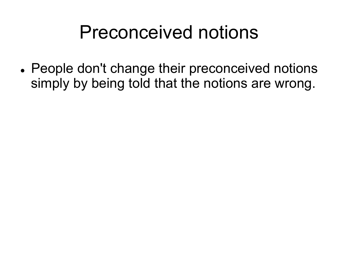#### Preconceived notions

 People don't change their preconceived notions simply by being told that the notions are wrong.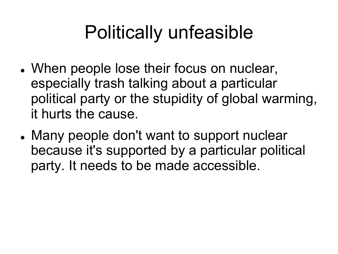# Politically unfeasible

- When people lose their focus on nuclear, especially trash talking about a particular political party or the stupidity of global warming, it hurts the cause.
- Many people don't want to support nuclear because it's supported by a particular political party. It needs to be made accessible.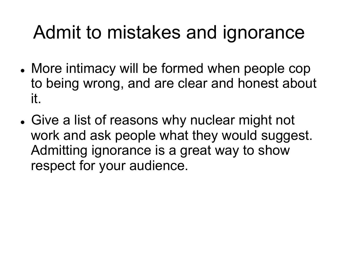#### Admit to mistakes and ignorance

- More intimacy will be formed when people cop to being wrong, and are clear and honest about it.
- Give a list of reasons why nuclear might not work and ask people what they would suggest. Admitting ignorance is a great way to show respect for your audience.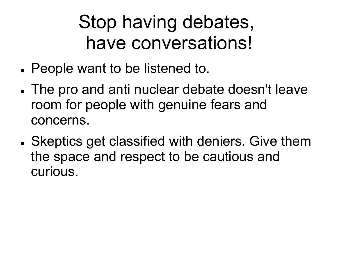#### Stop having debates, have conversations!

- People want to be listened to.
- The pro and anti nuclear debate doesn't leave room for people with genuine fears and concerns.
- Skeptics get classified with deniers. Give them the space and respect to be cautious and curious.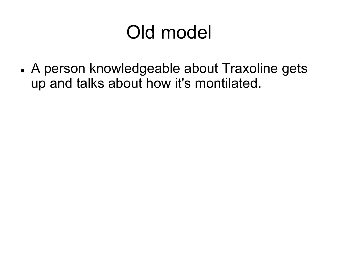## Old model

 A person knowledgeable about Traxoline gets up and talks about how it's montilated.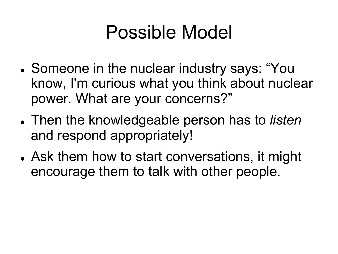#### Possible Model

- Someone in the nuclear industry says: "You know, I'm curious what you think about nuclear power. What are your concerns?"
- Then the knowledgeable person has to *listen* and respond appropriately!
- Ask them how to start conversations, it might encourage them to talk with other people.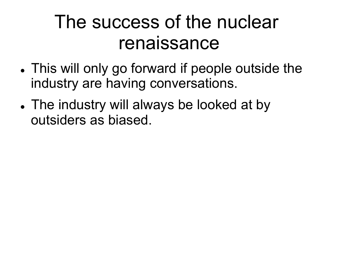#### The success of the nuclear renaissance

- This will only go forward if people outside the industry are having conversations.
- The industry will always be looked at by outsiders as biased.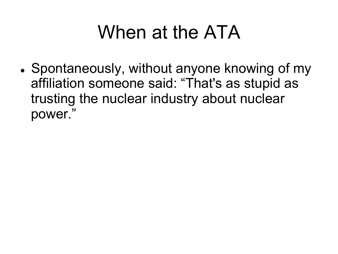## When at the ATA

• Spontaneously, without anyone knowing of my affiliation someone said: "That's as stupid as trusting the nuclear industry about nuclear power."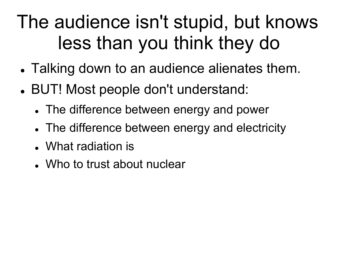## The audience isn't stupid, but knows less than you think they do

- Talking down to an audience alienates them.
- BUT! Most people don't understand:
	- The difference between energy and power
	- The difference between energy and electricity
	- What radiation is
	- Who to trust about nuclear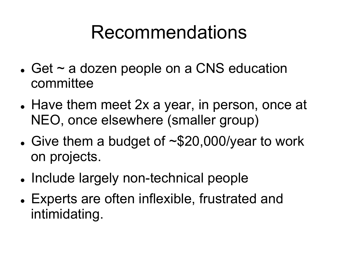#### Recommendations

- $\bullet$  Get  $\sim$  a dozen people on a CNS education committee
- Have them meet 2x a year, in person, once at NEO, once elsewhere (smaller group)
- Give them a budget of  $\sim$  \$20,000/year to work on projects.
- Include largely non-technical people
- Experts are often inflexible, frustrated and intimidating.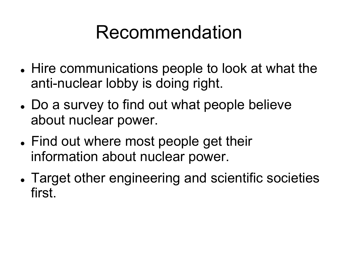#### Recommendation

- Hire communications people to look at what the anti-nuclear lobby is doing right.
- Do a survey to find out what people believe about nuclear power.
- Find out where most people get their information about nuclear power.
- Target other engineering and scientific societies first.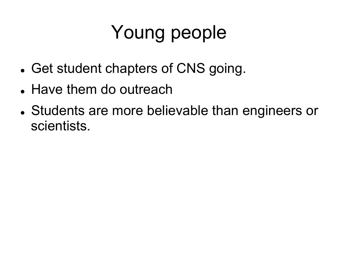# Young people

- Get student chapters of CNS going.
- Have them do outreach
- Students are more believable than engineers or scientists.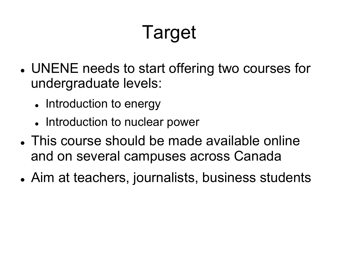# Target

- UNENE needs to start offering two courses for undergraduate levels:
	- Introduction to energy
	- Introduction to nuclear power
- This course should be made available online and on several campuses across Canada
- Aim at teachers, journalists, business students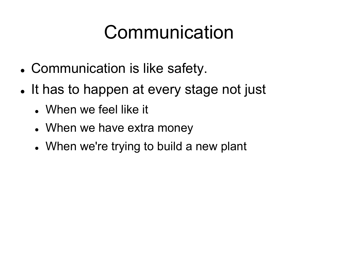## Communication

- Communication is like safety.
- It has to happen at every stage not just
	- When we feel like it
	- When we have extra money
	- When we're trying to build a new plant